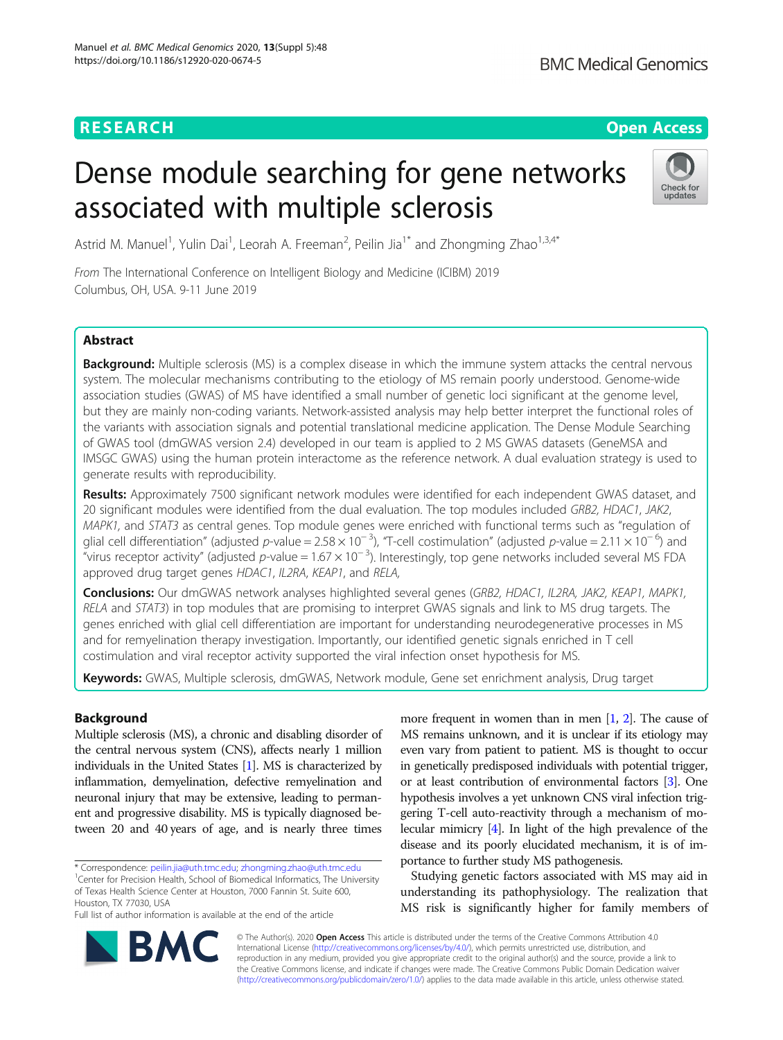## **RESEARCH CHINESE ARCH CHINESE ARCHITECT ARCHITECT ARCHITECT ARCHITECT ARCHITECT ARCHITECT ARCHITECT ARCHITECT ARCHITECT ARCHITECT ARCHITECT ARCHITECT ARCHITECT ARCHITECT ARCHITECT ARCHITECT ARCHITECT ARCHITECT ARCHITE**

# Dense module searching for gene networks associated with multiple sclerosis



Astrid M. Manuel<sup>1</sup>, Yulin Dai<sup>1</sup>, Leorah A. Freeman<sup>2</sup>, Peilin Jia<sup>1\*</sup> and Zhongming Zhao<sup>1,3,4\*</sup>

From The International Conference on Intelligent Biology and Medicine (ICIBM) 2019 Columbus, OH, USA. 9-11 June 2019

### Abstract

Background: Multiple sclerosis (MS) is a complex disease in which the immune system attacks the central nervous system. The molecular mechanisms contributing to the etiology of MS remain poorly understood. Genome-wide association studies (GWAS) of MS have identified a small number of genetic loci significant at the genome level, but they are mainly non-coding variants. Network-assisted analysis may help better interpret the functional roles of the variants with association signals and potential translational medicine application. The Dense Module Searching of GWAS tool (dmGWAS version 2.4) developed in our team is applied to 2 MS GWAS datasets (GeneMSA and IMSGC GWAS) using the human protein interactome as the reference network. A dual evaluation strategy is used to generate results with reproducibility.

Results: Approximately 7500 significant network modules were identified for each independent GWAS dataset, and 20 significant modules were identified from the dual evaluation. The top modules included GRB2, HDAC1, JAK2, MAPK1, and STAT3 as central genes. Top module genes were enriched with functional terms such as "regulation of glial cell differentiation" (adjusted p-value = 2.58 x 10<sup>-3</sup>), "T-cell costimulation" (adjusted p-value = 2.11 x 10<sup>-6</sup>) and "virus receptor activity" (adjusted p-value =  $1.67 \times 10^{-3}$ ). Interestingly, top gene networks included several MS FDA approved drug target genes HDAC1, IL2RA, KEAP1, and RELA,

Conclusions: Our dmGWAS network analyses highlighted several genes (GRB2, HDAC1, IL2RA, JAK2, KEAP1, MAPK1, RELA and STAT3) in top modules that are promising to interpret GWAS signals and link to MS drug targets. The genes enriched with glial cell differentiation are important for understanding neurodegenerative processes in MS and for remyelination therapy investigation. Importantly, our identified genetic signals enriched in T cell costimulation and viral receptor activity supported the viral infection onset hypothesis for MS.

Keywords: GWAS, Multiple sclerosis, dmGWAS, Network module, Gene set enrichment analysis, Drug target

#### Background

Multiple sclerosis (MS), a chronic and disabling disorder of the central nervous system (CNS), affects nearly 1 million individuals in the United States [\[1\]](#page-10-0). MS is characterized by inflammation, demyelination, defective remyelination and neuronal injury that may be extensive, leading to permanent and progressive disability. MS is typically diagnosed between 20 and 40 years of age, and is nearly three times

\* Correspondence: [peilin.jia@uth.tmc.edu;](mailto:peilin.jia@uth.tmc.edu) [zhongming.zhao@uth.tmc.edu](mailto:zhongming.zhao@uth.tmc.edu) <sup>1</sup>

<sup>1</sup> Center for Precision Health, School of Biomedical Informatics, The University of Texas Health Science Center at Houston, 7000 Fannin St. Suite 600,

Houston, TX 77030, USA

Full list of author information is available at the end of the article

more frequent in women than in men [\[1,](#page-10-0) [2\]](#page-10-0). The cause of MS remains unknown, and it is unclear if its etiology may even vary from patient to patient. MS is thought to occur in genetically predisposed individuals with potential trigger, or at least contribution of environmental factors [[3\]](#page-10-0). One hypothesis involves a yet unknown CNS viral infection triggering T-cell auto-reactivity through a mechanism of molecular mimicry [\[4\]](#page-10-0). In light of the high prevalence of the disease and its poorly elucidated mechanism, it is of importance to further study MS pathogenesis.

Studying genetic factors associated with MS may aid in understanding its pathophysiology. The realization that MS risk is significantly higher for family members of



© The Author(s). 2020 **Open Access** This article is distributed under the terms of the Creative Commons Attribution 4.0 International License [\(http://creativecommons.org/licenses/by/4.0/](http://creativecommons.org/licenses/by/4.0/)), which permits unrestricted use, distribution, and reproduction in any medium, provided you give appropriate credit to the original author(s) and the source, provide a link to the Creative Commons license, and indicate if changes were made. The Creative Commons Public Domain Dedication waiver [\(http://creativecommons.org/publicdomain/zero/1.0/](http://creativecommons.org/publicdomain/zero/1.0/)) applies to the data made available in this article, unless otherwise stated.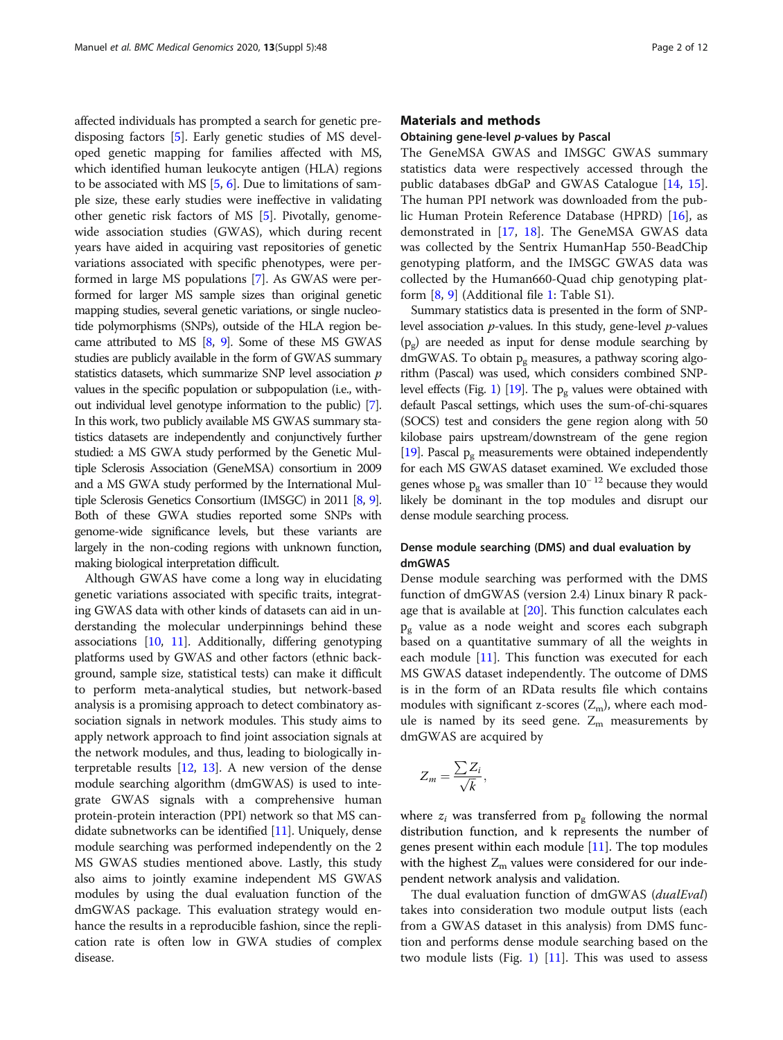affected individuals has prompted a search for genetic predisposing factors [[5\]](#page-10-0). Early genetic studies of MS developed genetic mapping for families affected with MS, which identified human leukocyte antigen (HLA) regions to be associated with MS [[5](#page-10-0), [6](#page-10-0)]. Due to limitations of sample size, these early studies were ineffective in validating other genetic risk factors of MS [\[5\]](#page-10-0). Pivotally, genomewide association studies (GWAS), which during recent years have aided in acquiring vast repositories of genetic variations associated with specific phenotypes, were performed in large MS populations [\[7\]](#page-10-0). As GWAS were performed for larger MS sample sizes than original genetic mapping studies, several genetic variations, or single nucleotide polymorphisms (SNPs), outside of the HLA region became attributed to MS [[8](#page-10-0), [9](#page-10-0)]. Some of these MS GWAS studies are publicly available in the form of GWAS summary statistics datasets, which summarize SNP level association  $p$ values in the specific population or subpopulation (i.e., without individual level genotype information to the public) [\[7\]](#page-10-0). In this work, two publicly available MS GWAS summary statistics datasets are independently and conjunctively further studied: a MS GWA study performed by the Genetic Multiple Sclerosis Association (GeneMSA) consortium in 2009 and a MS GWA study performed by the International Multiple Sclerosis Genetics Consortium (IMSGC) in 2011 [\[8,](#page-10-0) [9\]](#page-10-0). Both of these GWA studies reported some SNPs with genome-wide significance levels, but these variants are largely in the non-coding regions with unknown function, making biological interpretation difficult.

Although GWAS have come a long way in elucidating genetic variations associated with specific traits, integrating GWAS data with other kinds of datasets can aid in understanding the molecular underpinnings behind these associations [[10](#page-10-0), [11\]](#page-10-0). Additionally, differing genotyping platforms used by GWAS and other factors (ethnic background, sample size, statistical tests) can make it difficult to perform meta-analytical studies, but network-based analysis is a promising approach to detect combinatory association signals in network modules. This study aims to apply network approach to find joint association signals at the network modules, and thus, leading to biologically interpretable results [[12](#page-10-0), [13\]](#page-10-0). A new version of the dense module searching algorithm (dmGWAS) is used to integrate GWAS signals with a comprehensive human protein-protein interaction (PPI) network so that MS candidate subnetworks can be identified [\[11\]](#page-10-0). Uniquely, dense module searching was performed independently on the 2 MS GWAS studies mentioned above. Lastly, this study also aims to jointly examine independent MS GWAS modules by using the dual evaluation function of the dmGWAS package. This evaluation strategy would enhance the results in a reproducible fashion, since the replication rate is often low in GWA studies of complex disease.

#### Materials and methods

#### Obtaining gene-level p-values by Pascal

The GeneMSA GWAS and IMSGC GWAS summary statistics data were respectively accessed through the public databases dbGaP and GWAS Catalogue [[14](#page-10-0), [15](#page-10-0)]. The human PPI network was downloaded from the public Human Protein Reference Database (HPRD) [\[16](#page-10-0)], as demonstrated in [[17,](#page-10-0) [18\]](#page-10-0). The GeneMSA GWAS data was collected by the Sentrix HumanHap 550-BeadChip genotyping platform, and the IMSGC GWAS data was collected by the Human660-Quad chip genotyping platform [[8,](#page-10-0) [9\]](#page-10-0) (Additional file [1](#page-9-0): Table S1).

Summary statistics data is presented in the form of SNPlevel association  $p$ -values. In this study, gene-level  $p$ -values  $(p_{\sigma})$  are needed as input for dense module searching by dmGWAS. To obtain  $p_g$  measures, a pathway scoring algorithm (Pascal) was used, which considers combined SNP-level effects (Fig. [1\)](#page-2-0) [\[19\]](#page-10-0). The  $p_g$  values were obtained with default Pascal settings, which uses the sum-of-chi-squares (SOCS) test and considers the gene region along with 50 kilobase pairs upstream/downstream of the gene region [[19](#page-10-0)]. Pascal  $p_{\sigma}$  measurements were obtained independently for each MS GWAS dataset examined. We excluded those genes whose  $p_{\sigma}$  was smaller than 10<sup>-12</sup> because they would likely be dominant in the top modules and disrupt our dense module searching process.

#### Dense module searching (DMS) and dual evaluation by dmGWAS

Dense module searching was performed with the DMS function of dmGWAS (version 2.4) Linux binary R package that is available at [\[20\]](#page-10-0). This function calculates each  $p_{\sigma}$  value as a node weight and scores each subgraph based on a quantitative summary of all the weights in each module [\[11](#page-10-0)]. This function was executed for each MS GWAS dataset independently. The outcome of DMS is in the form of an RData results file which contains modules with significant z-scores  $(Z_m)$ , where each module is named by its seed gene.  $Z_m$  measurements by dmGWAS are acquired by

$$
Z_m = \frac{\sum Z_i}{\sqrt{k}},
$$

where  $z_i$  was transferred from  $p_g$  following the normal distribution function, and k represents the number of genes present within each module  $[11]$  $[11]$ . The top modules with the highest  $Z_m$  values were considered for our independent network analysis and validation.

The dual evaluation function of dmGWAS (dualEval) takes into consideration two module output lists (each from a GWAS dataset in this analysis) from DMS function and performs dense module searching based on the two module lists (Fig. [1\)](#page-2-0)  $[11]$  $[11]$ . This was used to assess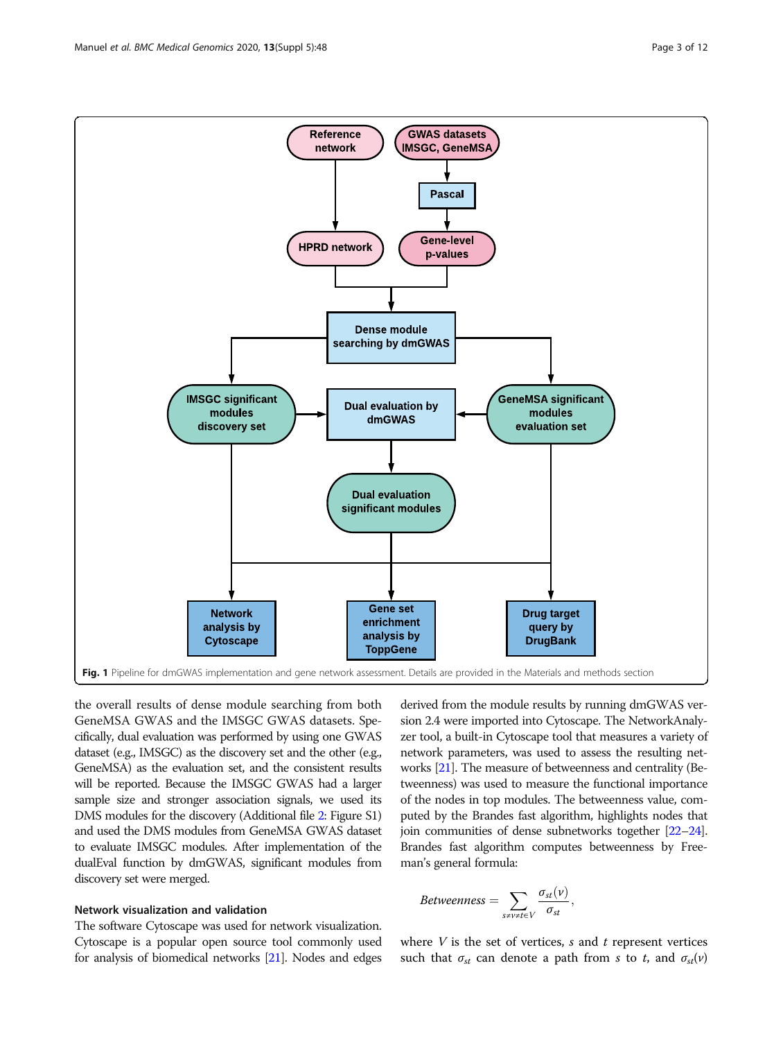<span id="page-2-0"></span>

the overall results of dense module searching from both GeneMSA GWAS and the IMSGC GWAS datasets. Specifically, dual evaluation was performed by using one GWAS dataset (e.g., IMSGC) as the discovery set and the other (e.g., GeneMSA) as the evaluation set, and the consistent results will be reported. Because the IMSGC GWAS had a larger sample size and stronger association signals, we used its DMS modules for the discovery (Additional file [2:](#page-9-0) Figure S1) and used the DMS modules from GeneMSA GWAS dataset to evaluate IMSGC modules. After implementation of the dualEval function by dmGWAS, significant modules from discovery set were merged.

#### Network visualization and validation

The software Cytoscape was used for network visualization. Cytoscape is a popular open source tool commonly used for analysis of biomedical networks [\[21\]](#page-10-0). Nodes and edges derived from the module results by running dmGWAS version 2.4 were imported into Cytoscape. The NetworkAnalyzer tool, a built-in Cytoscape tool that measures a variety of network parameters, was used to assess the resulting networks [[21](#page-10-0)]. The measure of betweenness and centrality (Betweenness) was used to measure the functional importance of the nodes in top modules. The betweenness value, computed by the Brandes fast algorithm, highlights nodes that join communities of dense subnetworks together [[22](#page-10-0)–[24](#page-10-0)]. Brandes fast algorithm computes betweenness by Freeman's general formula:

$$
Betweenness = \sum_{s \neq v \neq t \in V} \frac{\sigma_{st}(v)}{\sigma_{st}},
$$

where  $V$  is the set of vertices,  $s$  and  $t$  represent vertices such that  $\sigma_{st}$  can denote a path from s to t, and  $\sigma_{st}(v)$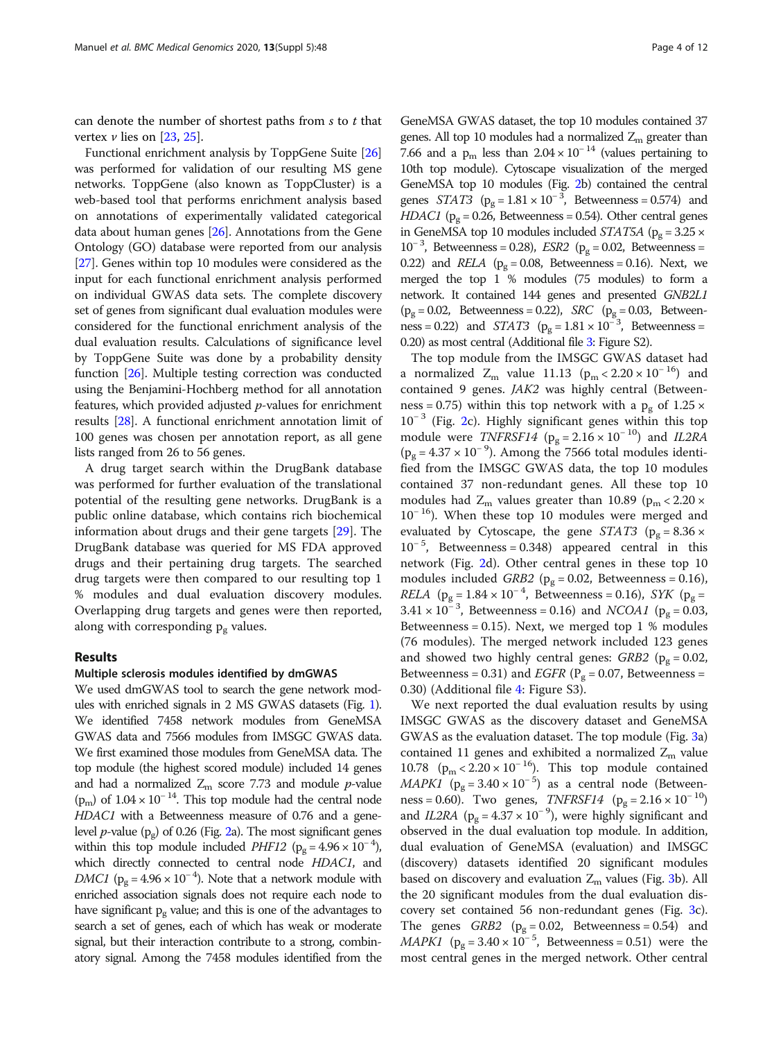can denote the number of shortest paths from  $s$  to  $t$  that vertex  $\nu$  lies on [[23,](#page-10-0) [25](#page-10-0)].

Functional enrichment analysis by ToppGene Suite [[26](#page-10-0)] was performed for validation of our resulting MS gene networks. ToppGene (also known as ToppCluster) is a web-based tool that performs enrichment analysis based on annotations of experimentally validated categorical data about human genes [\[26\]](#page-10-0). Annotations from the Gene Ontology (GO) database were reported from our analysis [[27](#page-10-0)]. Genes within top 10 modules were considered as the input for each functional enrichment analysis performed on individual GWAS data sets. The complete discovery set of genes from significant dual evaluation modules were considered for the functional enrichment analysis of the dual evaluation results. Calculations of significance level by ToppGene Suite was done by a probability density function [\[26\]](#page-10-0). Multiple testing correction was conducted using the Benjamini-Hochberg method for all annotation features, which provided adjusted p-values for enrichment results [[28](#page-10-0)]. A functional enrichment annotation limit of 100 genes was chosen per annotation report, as all gene lists ranged from 26 to 56 genes.

A drug target search within the DrugBank database was performed for further evaluation of the translational potential of the resulting gene networks. DrugBank is a public online database, which contains rich biochemical information about drugs and their gene targets [\[29\]](#page-10-0). The DrugBank database was queried for MS FDA approved drugs and their pertaining drug targets. The searched drug targets were then compared to our resulting top 1 % modules and dual evaluation discovery modules. Overlapping drug targets and genes were then reported, along with corresponding  $p_g$  values.

#### Results

#### Multiple sclerosis modules identified by dmGWAS

We used dmGWAS tool to search the gene network modules with enriched signals in 2 MS GWAS datasets (Fig. [1\)](#page-2-0). We identified 7458 network modules from GeneMSA GWAS data and 7566 modules from IMSGC GWAS data. We first examined those modules from GeneMSA data. The top module (the highest scored module) included 14 genes and had a normalized  $Z_m$  score 7.73 and module p-value  $(p_m)$  of 1.04 × 10<sup>-14</sup>. This top module had the central node HDAC1 with a Betweenness measure of 0.76 and a genelevel *p*-value ( $p_g$ ) of 0.26 (Fig. [2a](#page-4-0)). The most significant genes within this top module included *PHF12* ( $p_g = 4.96 \times 10^{-4}$ ), which directly connected to central node HDAC1, and DMC1 ( $p_g = 4.96 \times 10^{-4}$ ). Note that a network module with enriched association signals does not require each node to have significant  $p_g$  value; and this is one of the advantages to search a set of genes, each of which has weak or moderate signal, but their interaction contribute to a strong, combinatory signal. Among the 7458 modules identified from the

GeneMSA GWAS dataset, the top 10 modules contained 37 genes. All top 10 modules had a normalized  $Z<sub>m</sub>$  greater than 7.66 and a  $p_m$  less than 2.04 × 10<sup>-14</sup> (values pertaining to 10th top module). Cytoscape visualization of the merged GeneMSA top 10 modules (Fig. [2](#page-4-0)b) contained the central genes  $STAT3$  ( $p_g = 1.81 \times 10^{-3}$ , Betweenness = 0.574) and HDAC1 ( $p_{\sigma}$  = 0.26, Betweenness = 0.54). Other central genes in GeneMSA top 10 modules included STAT5A ( $p_{\sigma} = 3.25 \times$  $10^{-3}$ , Betweenness = 0.28), *ESR2* ( $p_g = 0.02$ , Betweenness = 0.22) and *RELA* ( $p_g = 0.08$ , Betweenness = 0.16). Next, we merged the top 1 % modules (75 modules) to form a network. It contained 144 genes and presented GNB2L1  $(p_\text{g} = 0.02, \text{ Betweenness} = 0.22), \text{ SRC}$   $(p_\text{g} = 0.03, \text{ Between-}$  $ness = 0.22$ ) and  $STAT3$  ( $p_g = 1.81 \times 10^{-3}$ , Betweenness = 0.20) as most central (Additional file [3:](#page-9-0) Figure S2).

The top module from the IMSGC GWAS dataset had a normalized  $Z_m$  value 11.13 ( $p_m < 2.20 \times 10^{-16}$ ) and contained 9 genes. JAK2 was highly central (Betweenness = 0.75) within this top network with a  $p_g$  of 1.25  $\times$  $10^{-3}$  (Fig. [2c](#page-4-0)). Highly significant genes within this top module were *TNFRSF14* ( $p<sub>g</sub> = 2.16 \times 10^{-10}$ ) and *IL2RA*  $(p<sub>g</sub> = 4.37 \times 10^{-9})$ . Among the 7566 total modules identified from the IMSGC GWAS data, the top 10 modules contained 37 non-redundant genes. All these top 10 modules had  $Z_m$  values greater than 10.89 ( $p_m < 2.20 \times$ 10<sup>−</sup> 16). When these top 10 modules were merged and evaluated by Cytoscape, the gene STAT3 ( $p_{\sigma} = 8.36 \times$ 10<sup>−</sup> <sup>5</sup> , Betweenness = 0.348) appeared central in this network (Fig. [2d](#page-4-0)). Other central genes in these top 10 modules included *GRB2* ( $p<sub>g</sub> = 0.02$ , Betweenness = 0.16), *RELA* ( $p_g = 1.84 \times 10^{-4}$ , Betweenness = 0.16), *SYK* ( $p_g$  =  $3.41 \times 10^{-3}$ , Betweenness = 0.16) and NCOA1 (p<sub>g</sub> = 0.03, Betweenness =  $0.15$ ). Next, we merged top 1 % modules (76 modules). The merged network included 123 genes and showed two highly central genes:  $GRB2$  ( $p_g = 0.02$ , Betweenness = 0.31) and *EGFR* ( $P<sub>g</sub>$  = 0.07, Betweenness = 0.30) (Additional file [4](#page-9-0): Figure S3).

We next reported the dual evaluation results by using IMSGC GWAS as the discovery dataset and GeneMSA GWAS as the evaluation dataset. The top module (Fig. [3](#page-5-0)a) contained 11 genes and exhibited a normalized  $Z_m$  value 10.78 ( $p_m < 2.20 \times 10^{-16}$ ). This top module contained MAPK1 ( $p_g = 3.40 \times 10^{-5}$ ) as a central node (Betweenness = 0.60). Two genes, *TNFRSF14* ( $p_g = 2.16 \times 10^{-10}$ ) and IL2RA ( $p_g = 4.37 \times 10^{-9}$ ), were highly significant and observed in the dual evaluation top module. In addition, dual evaluation of GeneMSA (evaluation) and IMSGC (discovery) datasets identified 20 significant modules based on discovery and evaluation  $Z<sub>m</sub>$  values (Fig. [3](#page-5-0)b). All the 20 significant modules from the dual evaluation discovery set contained 56 non-redundant genes (Fig. [3](#page-5-0)c). The genes  $GRB2$  ( $p_g = 0.02$ , Betweenness = 0.54) and *MAPK1* ( $p_g = 3.40 \times 10^{-5}$ , Betweenness = 0.51) were the most central genes in the merged network. Other central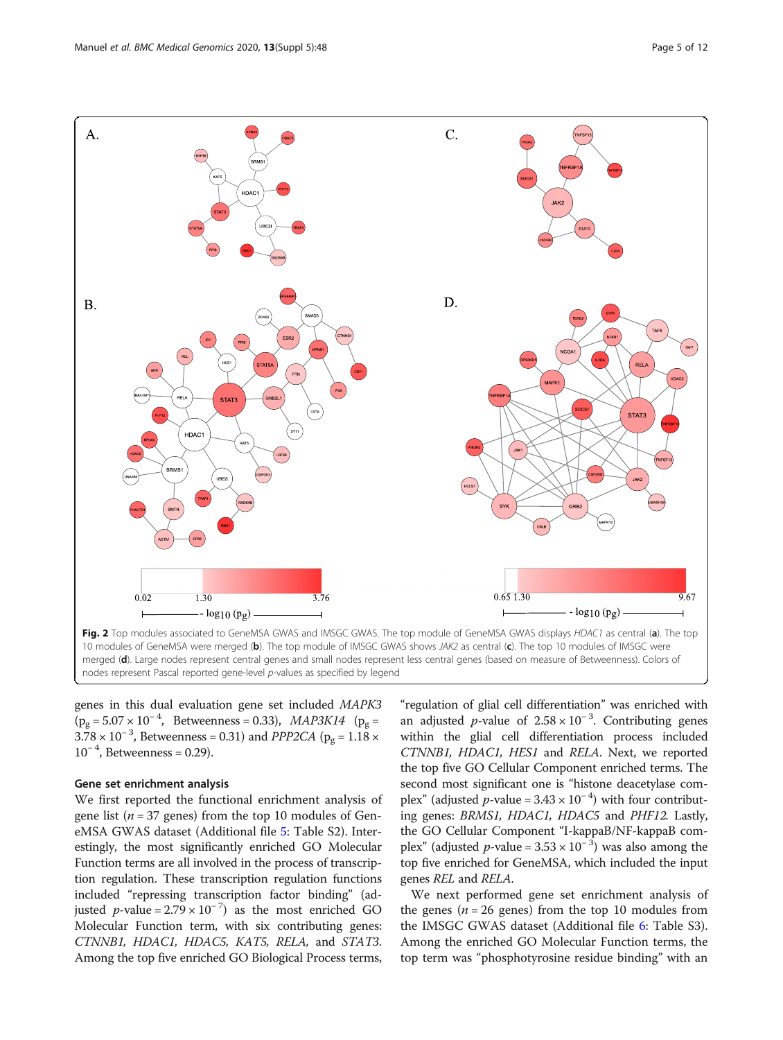<span id="page-4-0"></span>

nodes represent Pascal reported gene-level p-values as specified by legend

genes in this dual evaluation gene set included MAPK3  $(p_g = 5.07 \times 10^{-4}$ , Betweenness = 0.33), *MAP3K14* ( $p_g$  =  $3.78 \times 10^{-3}$ , Betweenness = 0.31) and *PPP2CA* ( $p_g = 1.18 \times 10^{-3}$  $10^{-4}$ , Betweenness = 0.29).

#### Gene set enrichment analysis

We first reported the functional enrichment analysis of gene list ( $n = 37$  genes) from the top 10 modules of GeneMSA GWAS dataset (Additional file [5](#page-10-0): Table S2). Interestingly, the most significantly enriched GO Molecular Function terms are all involved in the process of transcription regulation. These transcription regulation functions included "repressing transcription factor binding" (adjusted *p*-value =  $2.79 \times 10^{-7}$ ) as the most enriched GO Molecular Function term, with six contributing genes: CTNNB1, HDAC1, HDAC5, KAT5, RELA, and STAT3. Among the top five enriched GO Biological Process terms, "regulation of glial cell differentiation" was enriched with an adjusted p-value of  $2.58 \times 10^{-3}$ . Contributing genes within the glial cell differentiation process included CTNNB1, HDAC1, HES1 and RELA. Next, we reported the top five GO Cellular Component enriched terms. The second most significant one is "histone deacetylase complex" (adjusted  $p$ -value = 3.43 × 10<sup>-4</sup>) with four contributing genes: BRMS1, HDAC1, HDAC5 and PHF12. Lastly, the GO Cellular Component "I-kappaB/NF-kappaB complex" (adjusted *p*-value =  $3.53 \times 10^{-3}$ ) was also among the top five enriched for GeneMSA, which included the input genes REL and RELA.

We next performed gene set enrichment analysis of the genes ( $n = 26$  genes) from the top 10 modules from the IMSGC GWAS dataset (Additional file [6](#page-10-0): Table S3). Among the enriched GO Molecular Function terms, the top term was "phosphotyrosine residue binding" with an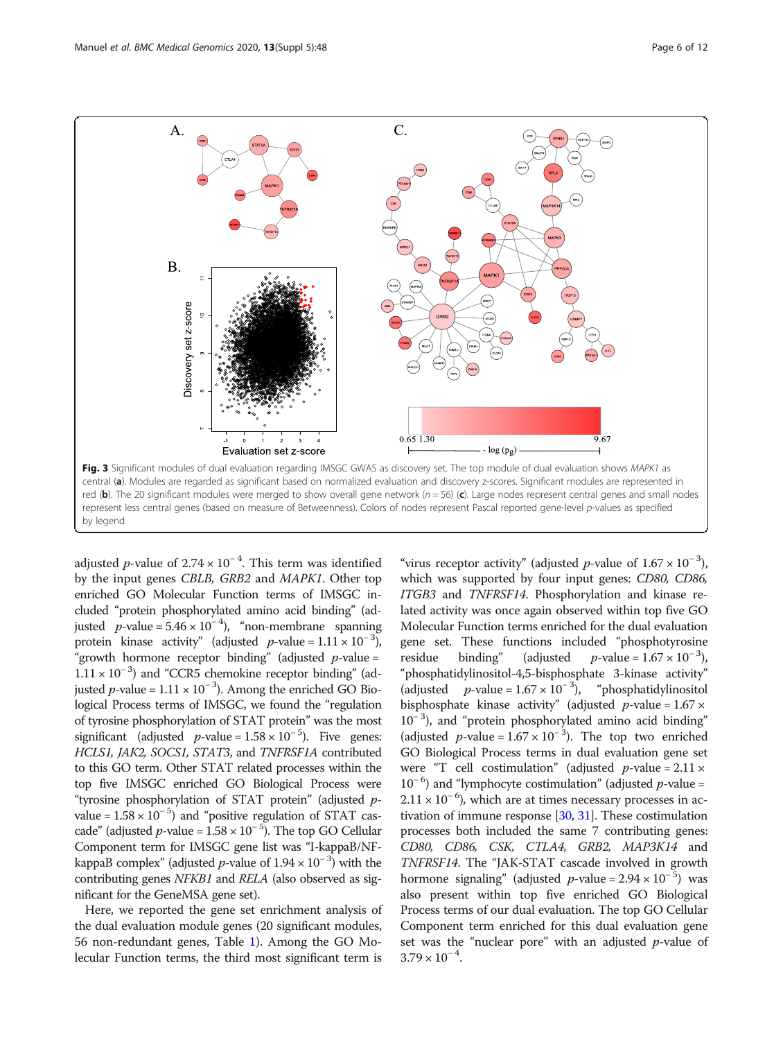<span id="page-5-0"></span>

adjusted p-value of 2.74 × 10<sup>-4</sup>. This term was identified by the input genes CBLB, GRB2 and MAPK1. Other top enriched GO Molecular Function terms of IMSGC included "protein phosphorylated amino acid binding" (adjusted p-value =  $5.46 \times 10^{-4}$ ), "non-membrane spanning protein kinase activity" (adjusted p-value =  $1.11 \times 10^{-3}$ ), "growth hormone receptor binding" (adjusted  $p$ -value = 1.11 × 10<sup>−</sup> <sup>3</sup> ) and "CCR5 chemokine receptor binding" (adjusted *p*-value =  $1.11 \times 10^{-3}$ ). Among the enriched GO Biological Process terms of IMSGC, we found the "regulation of tyrosine phosphorylation of STAT protein" was the most significant (adjusted *p*-value =  $1.58 \times 10^{-5}$ ). Five genes: HCLS1, JAK2, SOCS1, STAT3, and TNFRSF1A contributed to this GO term. Other STAT related processes within the top five IMSGC enriched GO Biological Process were "tyrosine phosphorylation of STAT protein" (adjusted pvalue =  $1.58 \times 10^{-5}$ ) and "positive regulation of STAT cascade" (adjusted p-value =  $1.58 \times 10^{-5}$ ). The top GO Cellular Component term for IMSGC gene list was "I-kappaB/NFkappaB complex" (adjusted p-value of  $1.94 \times 10^{-3}$ ) with the contributing genes NFKB1 and RELA (also observed as significant for the GeneMSA gene set).

Here, we reported the gene set enrichment analysis of the dual evaluation module genes (20 significant modules, 56 non-redundant genes, Table [1\)](#page-6-0). Among the GO Molecular Function terms, the third most significant term is

"virus receptor activity" (adjusted *p*-value of  $1.67 \times 10^{-3}$ ), which was supported by four input genes: CD80, CD86, ITGB3 and TNFRSF14. Phosphorylation and kinase related activity was once again observed within top five GO Molecular Function terms enriched for the dual evaluation gene set. These functions included "phosphotyrosine residue binding" (adjusted  $p$ -value = 1.67 × 10<sup>-3</sup>), "phosphatidylinositol-4,5-bisphosphate 3-kinase activity" (adjusted p-value =  $1.67 \times 10^{-3}$ ), "phosphatidylinositol bisphosphate kinase activity" (adjusted  $p$ -value = 1.67  $\times$ 10<sup>-3</sup>), and "protein phosphorylated amino acid binding" (adjusted p-value =  $1.67 \times 10^{-3}$ ). The top two enriched GO Biological Process terms in dual evaluation gene set were "T cell costimulation" (adjusted  $p$ -value = 2.11  $\times$ 10<sup>−</sup> <sup>6</sup> ) and "lymphocyte costimulation" (adjusted p-value =  $2.11 \times 10^{-6}$ ), which are at times necessary processes in activation of immune response [\[30,](#page-10-0) [31](#page-10-0)]. These costimulation processes both included the same 7 contributing genes: CD80, CD86, CSK, CTLA4, GRB2, MAP3K14 and TNFRSF14. The "JAK-STAT cascade involved in growth hormone signaling" (adjusted p-value =  $2.94 \times 10^{-5}$ ) was also present within top five enriched GO Biological Process terms of our dual evaluation. The top GO Cellular Component term enriched for this dual evaluation gene set was the "nuclear pore" with an adjusted  $p$ -value of  $3.79 \times 10^{-4}$ .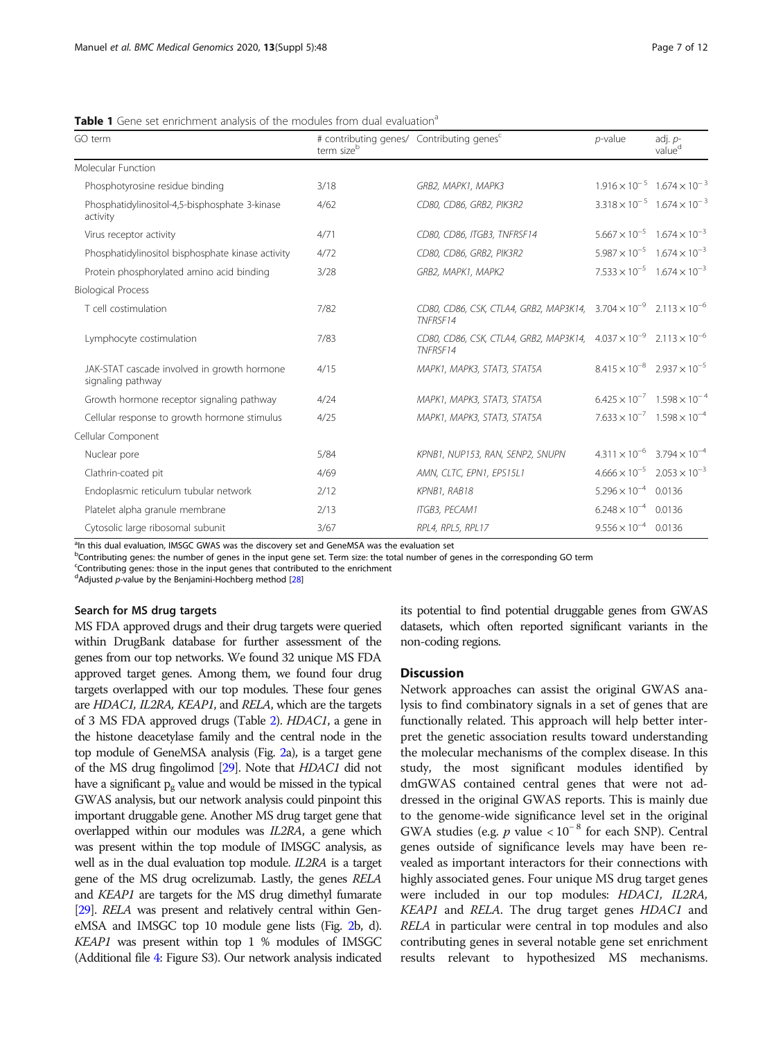| GO term                                                          | # contributing genes/ Contributing genes <sup>c</sup><br>term size <sup>b</sup> |                                                                                                  | $p$ -value                                    | adj. $p-$<br>value <sup>d</sup>               |
|------------------------------------------------------------------|---------------------------------------------------------------------------------|--------------------------------------------------------------------------------------------------|-----------------------------------------------|-----------------------------------------------|
| Molecular Function                                               |                                                                                 |                                                                                                  |                                               |                                               |
| Phosphotyrosine residue binding                                  | 3/18                                                                            | GRB2, MAPK1, MAPK3                                                                               |                                               | $1.916 \times 10^{-5}$ 1.674 $\times 10^{-3}$ |
| Phosphatidylinositol-4,5-bisphosphate 3-kinase<br>activity       | 4/62                                                                            | CD80, CD86, GRB2, PIK3R2                                                                         |                                               | $3.318 \times 10^{-5}$ $1.674 \times 10^{-3}$ |
| Virus receptor activity                                          | 4/71                                                                            | CD80, CD86, ITGB3, TNFRSF14                                                                      |                                               | $5.667 \times 10^{-5}$ $1.674 \times 10^{-3}$ |
| Phosphatidylinositol bisphosphate kinase activity                | 4/72                                                                            | CD80, CD86, GRB2, PIK3R2                                                                         |                                               | $5.987 \times 10^{-5}$ 1.674 $\times 10^{-3}$ |
| Protein phosphorylated amino acid binding                        | 3/28                                                                            | GRB2, MAPK1, MAPK2                                                                               |                                               | $7.533 \times 10^{-5}$ $1.674 \times 10^{-3}$ |
| <b>Biological Process</b>                                        |                                                                                 |                                                                                                  |                                               |                                               |
| T cell costimulation                                             | 7/82                                                                            | CD80, CD86, CSK, CTLA4, GRB2, MAP3K14, $3.704 \times 10^{-9}$ $2.113 \times 10^{-6}$<br>TNFRSF14 |                                               |                                               |
| Lymphocyte costimulation                                         | 7/83                                                                            | CD80, CD86, CSK, CTLA4, GRB2, MAP3K14, $4.037 \times 10^{-9}$ $2.113 \times 10^{-6}$<br>TNFRSF14 |                                               |                                               |
| JAK-STAT cascade involved in growth hormone<br>signaling pathway | 4/15                                                                            | MAPK1, MAPK3, STAT3, STAT5A                                                                      | $8.415 \times 10^{-8}$ 2.937 $\times 10^{-5}$ |                                               |
| Growth hormone receptor signaling pathway                        | 4/24                                                                            | MAPK1, MAPK3, STAT3, STAT5A                                                                      |                                               | $6.425 \times 10^{-7}$ 1.598 $\times 10^{-4}$ |
| Cellular response to growth hormone stimulus                     | 4/25                                                                            | MAPK1, MAPK3, STAT3, STAT5A                                                                      |                                               | $7.633 \times 10^{-7}$ 1.598 $\times 10^{-4}$ |
| Cellular Component                                               |                                                                                 |                                                                                                  |                                               |                                               |
| Nuclear pore                                                     | 5/84                                                                            | KPNB1, NUP153, RAN, SENP2, SNUPN                                                                 | $4.311 \times 10^{-6}$ $3.794 \times 10^{-4}$ |                                               |
| Clathrin-coated pit                                              | 4/69                                                                            | AMN, CLTC, EPN1, EPS15L1                                                                         | $4.666 \times 10^{-5}$                        | $2.053 \times 10^{-3}$                        |
| Endoplasmic reticulum tubular network                            | 2/12                                                                            | KPNB1, RAB18                                                                                     | $5.296 \times 10^{-4}$ 0.0136                 |                                               |
| Platelet alpha granule membrane                                  | 2/13                                                                            | ITGB3, PECAM1                                                                                    | $6.248 \times 10^{-4}$                        | 0.0136                                        |
| Cytosolic large ribosomal subunit                                | 3/67                                                                            | RPL4, RPL5, RPL17                                                                                | $9.556 \times 10^{-4}$ 0.0136                 |                                               |

<span id="page-6-0"></span>Table 1 Gene set enrichment analysis of the modules from dual evaluation<sup>a</sup>

<sup>a</sup>In this dual evaluation, IMSGC GWAS was the discovery set and GeneMSA was the evaluation set

**bContributing genes: the number of genes in the input gene set. Term size: the total number of genes in the corresponding GO term** 

c Contributing genes: those in the input genes that contributed to the enrichment

<sup>d</sup>Adjusted p-value by the Benjamini-Hochberg method [\[28](#page-10-0)]

#### Search for MS drug targets

MS FDA approved drugs and their drug targets were queried within DrugBank database for further assessment of the genes from our top networks. We found 32 unique MS FDA approved target genes. Among them, we found four drug targets overlapped with our top modules. These four genes are HDAC1, IL2RA, KEAP1, and RELA, which are the targets of 3 MS FDA approved drugs (Table [2\)](#page-7-0). HDAC1, a gene in the histone deacetylase family and the central node in the top module of GeneMSA analysis (Fig. [2a](#page-4-0)), is a target gene of the MS drug fingolimod [\[29](#page-10-0)]. Note that HDAC1 did not have a significant  $p_g$  value and would be missed in the typical GWAS analysis, but our network analysis could pinpoint this important druggable gene. Another MS drug target gene that overlapped within our modules was IL2RA, a gene which was present within the top module of IMSGC analysis, as well as in the dual evaluation top module. *IL2RA* is a target gene of the MS drug ocrelizumab. Lastly, the genes RELA and KEAP1 are targets for the MS drug dimethyl fumarate [[29\]](#page-10-0). RELA was present and relatively central within GeneMSA and IMSGC top 10 module gene lists (Fig. [2](#page-4-0)b, d). KEAP1 was present within top 1 % modules of IMSGC (Additional file [4:](#page-9-0) Figure S3). Our network analysis indicated its potential to find potential druggable genes from GWAS datasets, which often reported significant variants in the non-coding regions.

#### **Discussion**

Network approaches can assist the original GWAS analysis to find combinatory signals in a set of genes that are functionally related. This approach will help better interpret the genetic association results toward understanding the molecular mechanisms of the complex disease. In this study, the most significant modules identified by dmGWAS contained central genes that were not addressed in the original GWAS reports. This is mainly due to the genome-wide significance level set in the original GWA studies (e.g.  $p$  value <  $10^{-8}$  for each SNP). Central genes outside of significance levels may have been revealed as important interactors for their connections with highly associated genes. Four unique MS drug target genes were included in our top modules: HDAC1, IL2RA, KEAP1 and RELA. The drug target genes HDAC1 and RELA in particular were central in top modules and also contributing genes in several notable gene set enrichment results relevant to hypothesized MS mechanisms.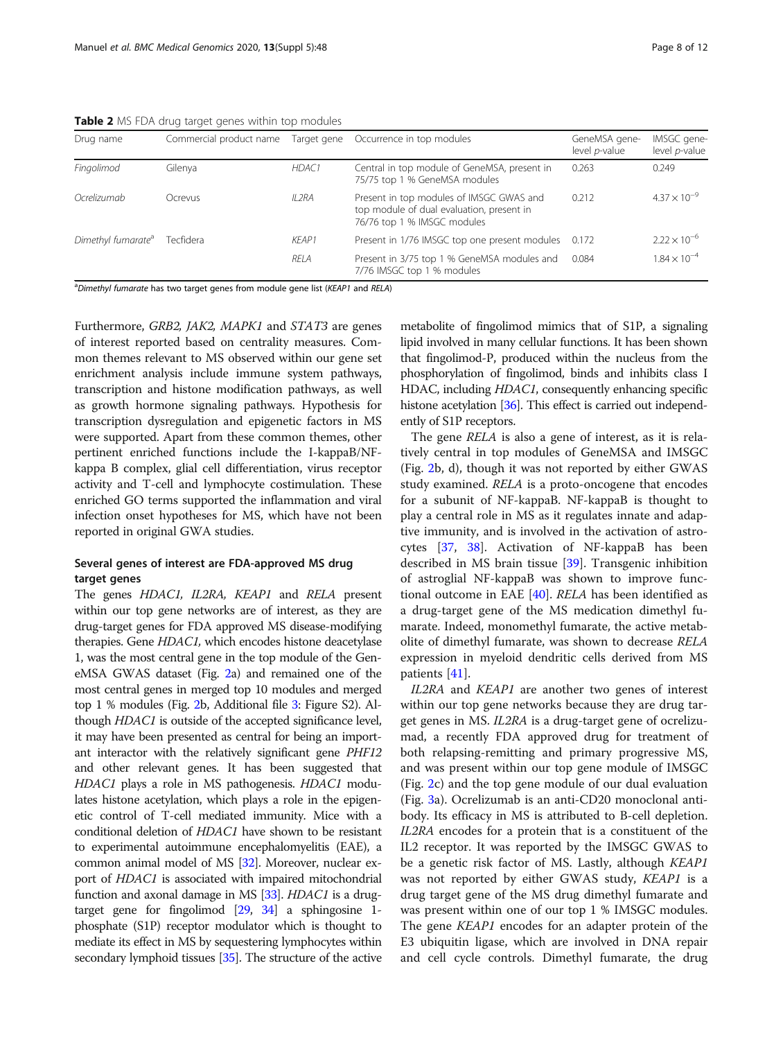<span id="page-7-0"></span>Table 2 MS FDA drug target genes within top modules

| Drug name                      | Commercial product name | Target gene | Occurrence in top modules                                                                                            | GeneMSA gene-<br>level p-value | IMSGC gene-<br>level p-value |
|--------------------------------|-------------------------|-------------|----------------------------------------------------------------------------------------------------------------------|--------------------------------|------------------------------|
| Fingolimod                     | Gilenya                 | HDAC1       | Central in top module of GeneMSA, present in<br>75/75 top 1 % GeneMSA modules                                        | 0.263                          | 0.249                        |
| Ocrelizumab                    | Ocrevus                 | $II$ $2RA$  | Present in top modules of IMSGC GWAS and<br>top module of dual evaluation, present in<br>76/76 top 1 % IMSGC modules | 0.212                          | $4.37 \times 10^{-9}$        |
| Dimethyl fumarate <sup>a</sup> | Tecfidera               | KFAP1       | Present in 1/76 IMSGC top one present modules                                                                        | 0.172                          | $2.22 \times 10^{-6}$        |
|                                |                         | RELA        | Present in 3/75 top 1 % GeneMSA modules and<br>7/76 IMSGC top 1 % modules                                            | 0.084                          | $1.84 \times 10^{-4}$        |

<sup>a</sup>Dimethyl fumarate has two target genes from module gene list (KEAP1 and RELA)

Furthermore, GRB2, JAK2, MAPK1 and STAT3 are genes of interest reported based on centrality measures. Common themes relevant to MS observed within our gene set enrichment analysis include immune system pathways, transcription and histone modification pathways, as well as growth hormone signaling pathways. Hypothesis for transcription dysregulation and epigenetic factors in MS were supported. Apart from these common themes, other pertinent enriched functions include the I-kappaB/NFkappa B complex, glial cell differentiation, virus receptor activity and T-cell and lymphocyte costimulation. These enriched GO terms supported the inflammation and viral infection onset hypotheses for MS, which have not been reported in original GWA studies.

#### Several genes of interest are FDA-approved MS drug target genes

The genes HDAC1, IL2RA, KEAP1 and RELA present within our top gene networks are of interest, as they are drug-target genes for FDA approved MS disease-modifying therapies. Gene HDAC1, which encodes histone deacetylase 1, was the most central gene in the top module of the GeneMSA GWAS dataset (Fig. [2a](#page-4-0)) and remained one of the most central genes in merged top 10 modules and merged top 1 % modules (Fig. [2](#page-4-0)b, Additional file [3:](#page-9-0) Figure S2). Although HDAC1 is outside of the accepted significance level, it may have been presented as central for being an important interactor with the relatively significant gene PHF12 and other relevant genes. It has been suggested that HDAC1 plays a role in MS pathogenesis. HDAC1 modulates histone acetylation, which plays a role in the epigenetic control of T-cell mediated immunity. Mice with a conditional deletion of HDAC1 have shown to be resistant to experimental autoimmune encephalomyelitis (EAE), a common animal model of MS [\[32\]](#page-10-0). Moreover, nuclear export of HDAC1 is associated with impaired mitochondrial function and axonal damage in MS [\[33\]](#page-10-0). HDAC1 is a drugtarget gene for fingolimod [\[29](#page-10-0), [34\]](#page-11-0) a sphingosine 1 phosphate (S1P) receptor modulator which is thought to mediate its effect in MS by sequestering lymphocytes within secondary lymphoid tissues [\[35\]](#page-11-0). The structure of the active

metabolite of fingolimod mimics that of S1P, a signaling lipid involved in many cellular functions. It has been shown that fingolimod-P, produced within the nucleus from the phosphorylation of fingolimod, binds and inhibits class I HDAC, including HDAC1, consequently enhancing specific histone acetylation [\[36\]](#page-11-0). This effect is carried out independently of S1P receptors.

The gene RELA is also a gene of interest, as it is relatively central in top modules of GeneMSA and IMSGC (Fig. [2b](#page-4-0), d), though it was not reported by either GWAS study examined. RELA is a proto-oncogene that encodes for a subunit of NF-kappaB. NF-kappaB is thought to play a central role in MS as it regulates innate and adaptive immunity, and is involved in the activation of astrocytes [[37,](#page-11-0) [38](#page-11-0)]. Activation of NF-kappaB has been described in MS brain tissue [\[39\]](#page-11-0). Transgenic inhibition of astroglial NF-kappaB was shown to improve functional outcome in EAE [\[40](#page-11-0)]. RELA has been identified as a drug-target gene of the MS medication dimethyl fumarate. Indeed, monomethyl fumarate, the active metabolite of dimethyl fumarate, was shown to decrease RELA expression in myeloid dendritic cells derived from MS patients [[41\]](#page-11-0).

IL2RA and KEAP1 are another two genes of interest within our top gene networks because they are drug target genes in MS. IL2RA is a drug-target gene of ocrelizumad, a recently FDA approved drug for treatment of both relapsing-remitting and primary progressive MS, and was present within our top gene module of IMSGC (Fig. [2](#page-4-0)c) and the top gene module of our dual evaluation (Fig. [3a](#page-5-0)). Ocrelizumab is an anti-CD20 monoclonal antibody. Its efficacy in MS is attributed to B-cell depletion. IL2RA encodes for a protein that is a constituent of the IL2 receptor. It was reported by the IMSGC GWAS to be a genetic risk factor of MS. Lastly, although KEAP1 was not reported by either GWAS study, KEAP1 is a drug target gene of the MS drug dimethyl fumarate and was present within one of our top 1 % IMSGC modules. The gene KEAP1 encodes for an adapter protein of the E3 ubiquitin ligase, which are involved in DNA repair and cell cycle controls. Dimethyl fumarate, the drug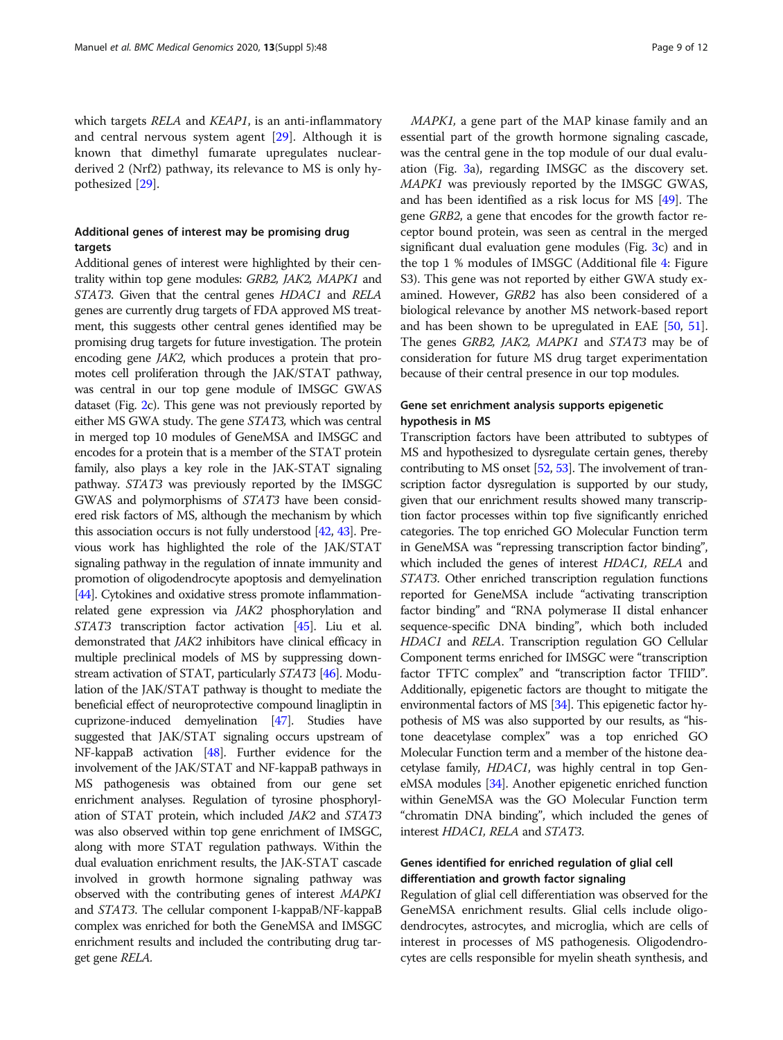which targets RELA and KEAP1, is an anti-inflammatory and central nervous system agent [[29\]](#page-10-0). Although it is known that dimethyl fumarate upregulates nuclearderived 2 (Nrf2) pathway, its relevance to MS is only hypothesized [\[29](#page-10-0)].

#### Additional genes of interest may be promising drug targets

Additional genes of interest were highlighted by their centrality within top gene modules: GRB2, JAK2, MAPK1 and STAT3. Given that the central genes HDAC1 and RELA genes are currently drug targets of FDA approved MS treatment, this suggests other central genes identified may be promising drug targets for future investigation. The protein encoding gene JAK2, which produces a protein that promotes cell proliferation through the JAK/STAT pathway, was central in our top gene module of IMSGC GWAS dataset (Fig. [2](#page-4-0)c). This gene was not previously reported by either MS GWA study. The gene STAT3, which was central in merged top 10 modules of GeneMSA and IMSGC and encodes for a protein that is a member of the STAT protein family, also plays a key role in the JAK-STAT signaling pathway. STAT3 was previously reported by the IMSGC GWAS and polymorphisms of STAT3 have been considered risk factors of MS, although the mechanism by which this association occurs is not fully understood [\[42,](#page-11-0) [43](#page-11-0)]. Previous work has highlighted the role of the JAK/STAT signaling pathway in the regulation of innate immunity and promotion of oligodendrocyte apoptosis and demyelination [[44](#page-11-0)]. Cytokines and oxidative stress promote inflammationrelated gene expression via JAK2 phosphorylation and STAT3 transcription factor activation [\[45\]](#page-11-0). Liu et al. demonstrated that JAK2 inhibitors have clinical efficacy in multiple preclinical models of MS by suppressing downstream activation of STAT, particularly STAT3 [\[46](#page-11-0)]. Modulation of the JAK/STAT pathway is thought to mediate the beneficial effect of neuroprotective compound linagliptin in cuprizone-induced demyelination [\[47\]](#page-11-0). Studies have suggested that JAK/STAT signaling occurs upstream of NF-kappaB activation [[48](#page-11-0)]. Further evidence for the involvement of the JAK/STAT and NF-kappaB pathways in MS pathogenesis was obtained from our gene set enrichment analyses. Regulation of tyrosine phosphorylation of STAT protein, which included JAK2 and STAT3 was also observed within top gene enrichment of IMSGC, along with more STAT regulation pathways. Within the dual evaluation enrichment results, the JAK-STAT cascade involved in growth hormone signaling pathway was observed with the contributing genes of interest MAPK1 and STAT3. The cellular component I-kappaB/NF-kappaB complex was enriched for both the GeneMSA and IMSGC enrichment results and included the contributing drug target gene RELA.

MAPK1, a gene part of the MAP kinase family and an essential part of the growth hormone signaling cascade, was the central gene in the top module of our dual evaluation (Fig. [3a](#page-5-0)), regarding IMSGC as the discovery set. MAPK1 was previously reported by the IMSGC GWAS, and has been identified as a risk locus for MS [[49](#page-11-0)]. The gene GRB2, a gene that encodes for the growth factor receptor bound protein, was seen as central in the merged significant dual evaluation gene modules (Fig. [3c](#page-5-0)) and in the top 1 % modules of IMSGC (Additional file [4:](#page-9-0) Figure S3). This gene was not reported by either GWA study examined. However, GRB2 has also been considered of a biological relevance by another MS network-based report and has been shown to be upregulated in EAE [\[50,](#page-11-0) [51](#page-11-0)]. The genes GRB2, JAK2, MAPK1 and STAT3 may be of consideration for future MS drug target experimentation because of their central presence in our top modules.

#### Gene set enrichment analysis supports epigenetic hypothesis in MS

Transcription factors have been attributed to subtypes of MS and hypothesized to dysregulate certain genes, thereby contributing to MS onset [\[52](#page-11-0), [53](#page-11-0)]. The involvement of transcription factor dysregulation is supported by our study, given that our enrichment results showed many transcription factor processes within top five significantly enriched categories. The top enriched GO Molecular Function term in GeneMSA was "repressing transcription factor binding", which included the genes of interest HDAC1, RELA and STAT3. Other enriched transcription regulation functions reported for GeneMSA include "activating transcription factor binding" and "RNA polymerase II distal enhancer sequence-specific DNA binding", which both included HDAC1 and RELA. Transcription regulation GO Cellular Component terms enriched for IMSGC were "transcription factor TFTC complex" and "transcription factor TFIID". Additionally, epigenetic factors are thought to mitigate the environmental factors of MS [\[34](#page-11-0)]. This epigenetic factor hypothesis of MS was also supported by our results, as "histone deacetylase complex" was a top enriched GO Molecular Function term and a member of the histone deacetylase family, HDAC1, was highly central in top GeneMSA modules [\[34\]](#page-11-0). Another epigenetic enriched function within GeneMSA was the GO Molecular Function term "chromatin DNA binding", which included the genes of interest HDAC1, RELA and STAT3.

#### Genes identified for enriched regulation of glial cell differentiation and growth factor signaling

Regulation of glial cell differentiation was observed for the GeneMSA enrichment results. Glial cells include oligodendrocytes, astrocytes, and microglia, which are cells of interest in processes of MS pathogenesis. Oligodendrocytes are cells responsible for myelin sheath synthesis, and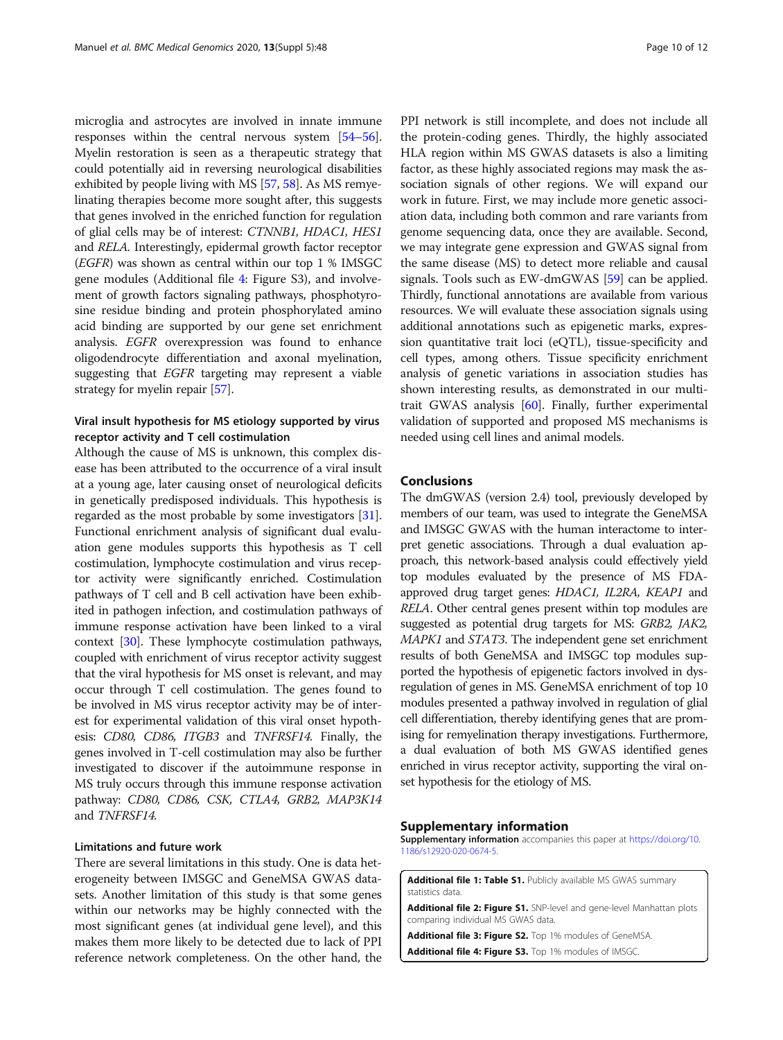<span id="page-9-0"></span>microglia and astrocytes are involved in innate immune responses within the central nervous system [\[54](#page-11-0)–[56](#page-11-0)]. Myelin restoration is seen as a therapeutic strategy that could potentially aid in reversing neurological disabilities exhibited by people living with MS [\[57,](#page-11-0) [58\]](#page-11-0). As MS remyelinating therapies become more sought after, this suggests that genes involved in the enriched function for regulation of glial cells may be of interest: CTNNB1, HDAC1, HES1 and RELA. Interestingly, epidermal growth factor receptor (EGFR) was shown as central within our top 1 % IMSGC gene modules (Additional file 4: Figure S3), and involvement of growth factors signaling pathways, phosphotyrosine residue binding and protein phosphorylated amino acid binding are supported by our gene set enrichment analysis. EGFR overexpression was found to enhance oligodendrocyte differentiation and axonal myelination, suggesting that EGFR targeting may represent a viable strategy for myelin repair [\[57\]](#page-11-0).

#### Viral insult hypothesis for MS etiology supported by virus receptor activity and T cell costimulation

Although the cause of MS is unknown, this complex disease has been attributed to the occurrence of a viral insult at a young age, later causing onset of neurological deficits in genetically predisposed individuals. This hypothesis is regarded as the most probable by some investigators [[31](#page-10-0)]. Functional enrichment analysis of significant dual evaluation gene modules supports this hypothesis as T cell costimulation, lymphocyte costimulation and virus receptor activity were significantly enriched. Costimulation pathways of T cell and B cell activation have been exhibited in pathogen infection, and costimulation pathways of immune response activation have been linked to a viral context [\[30\]](#page-10-0). These lymphocyte costimulation pathways, coupled with enrichment of virus receptor activity suggest that the viral hypothesis for MS onset is relevant, and may occur through T cell costimulation. The genes found to be involved in MS virus receptor activity may be of interest for experimental validation of this viral onset hypothesis: CD80, CD86, ITGB3 and TNFRSF14. Finally, the genes involved in T-cell costimulation may also be further investigated to discover if the autoimmune response in MS truly occurs through this immune response activation pathway: CD80, CD86, CSK, CTLA4, GRB2, MAP3K14 and TNFRSF14.

#### Limitations and future work

There are several limitations in this study. One is data heterogeneity between IMSGC and GeneMSA GWAS datasets. Another limitation of this study is that some genes within our networks may be highly connected with the most significant genes (at individual gene level), and this makes them more likely to be detected due to lack of PPI reference network completeness. On the other hand, the

PPI network is still incomplete, and does not include all the protein-coding genes. Thirdly, the highly associated HLA region within MS GWAS datasets is also a limiting factor, as these highly associated regions may mask the association signals of other regions. We will expand our work in future. First, we may include more genetic association data, including both common and rare variants from genome sequencing data, once they are available. Second, we may integrate gene expression and GWAS signal from the same disease (MS) to detect more reliable and causal signals. Tools such as EW-dmGWAS [\[59\]](#page-11-0) can be applied. Thirdly, functional annotations are available from various resources. We will evaluate these association signals using additional annotations such as epigenetic marks, expression quantitative trait loci (eQTL), tissue-specificity and cell types, among others. Tissue specificity enrichment analysis of genetic variations in association studies has shown interesting results, as demonstrated in our multitrait GWAS analysis [[60](#page-11-0)]. Finally, further experimental validation of supported and proposed MS mechanisms is needed using cell lines and animal models.

#### Conclusions

The dmGWAS (version 2.4) tool, previously developed by members of our team, was used to integrate the GeneMSA and IMSGC GWAS with the human interactome to interpret genetic associations. Through a dual evaluation approach, this network-based analysis could effectively yield top modules evaluated by the presence of MS FDAapproved drug target genes: HDAC1, IL2RA, KEAP1 and RELA. Other central genes present within top modules are suggested as potential drug targets for MS: GRB2, JAK2, MAPK1 and STAT3. The independent gene set enrichment results of both GeneMSA and IMSGC top modules supported the hypothesis of epigenetic factors involved in dysregulation of genes in MS. GeneMSA enrichment of top 10 modules presented a pathway involved in regulation of glial cell differentiation, thereby identifying genes that are promising for remyelination therapy investigations. Furthermore, a dual evaluation of both MS GWAS identified genes enriched in virus receptor activity, supporting the viral onset hypothesis for the etiology of MS.

#### Supplementary information

Supplementary information accompanies this paper at [https://doi.org/10.](https://doi.org/10.1186/s12920-020-0674-5) [1186/s12920-020-0674-5.](https://doi.org/10.1186/s12920-020-0674-5)

Additional file 1: Table S1. Publicly available MS GWAS summary statistics data

Additional file 2: Figure S1. SNP-level and gene-level Manhattan plots comparing individual MS GWAS data.

Additional file 3: Figure S2. Top 1% modules of GeneMSA.

Additional file 4: Figure S3. Top 1% modules of IMSGC.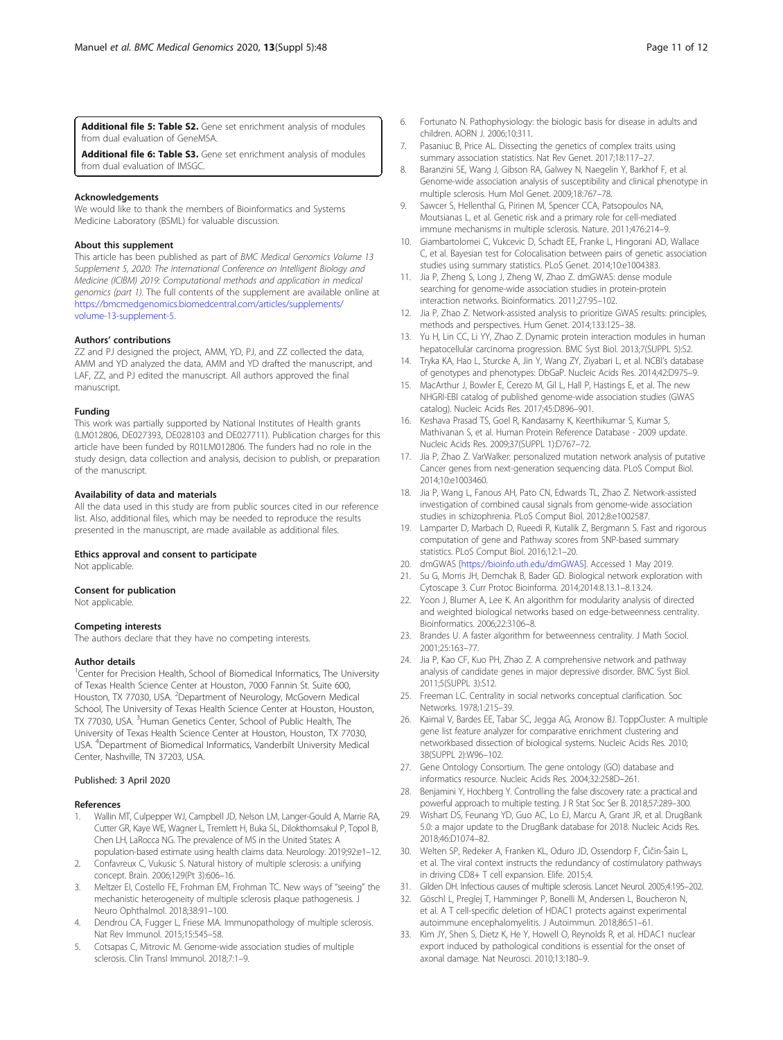<span id="page-10-0"></span>Additional file 5: Table S2. Gene set enrichment analysis of modules from dual evaluation of GeneMSA.

Additional file 6: Table S3. Gene set enrichment analysis of modules from dual evaluation of IMSGC.

#### Acknowledgements

We would like to thank the members of Bioinformatics and Systems Medicine Laboratory (BSML) for valuable discussion.

#### About this supplement

This article has been published as part of BMC Medical Genomics Volume 13 Supplement 5, 2020: The International Conference on Intelligent Biology and Medicine (ICIBM) 2019: Computational methods and application in medical genomics (part 1). The full contents of the supplement are available online at [https://bmcmedgenomics.biomedcentral.com/articles/supplements/](https://bmcmedgenomics.biomedcentral.com/articles/supplements/volume-13-supplement-5) [volume-13-supplement-5](https://bmcmedgenomics.biomedcentral.com/articles/supplements/volume-13-supplement-5).

#### Authors' contributions

ZZ and PJ designed the project, AMM, YD, PJ, and ZZ collected the data, AMM and YD analyzed the data, AMM and YD drafted the manuscript, and LAF, ZZ, and PJ edited the manuscript. All authors approved the final manuscript.

#### Funding

This work was partially supported by National Institutes of Health grants (LM012806, DE027393, DE028103 and DE027711). Publication charges for this article have been funded by R01LM012806. The funders had no role in the study design, data collection and analysis, decision to publish, or preparation of the manuscript.

#### Availability of data and materials

All the data used in this study are from public sources cited in our reference list. Also, additional files, which may be needed to reproduce the results presented in the manuscript, are made available as additional files.

#### Ethics approval and consent to participate

Not applicable.

#### Consent for publication

Not applicable.

#### Competing interests

The authors declare that they have no competing interests.

#### Author details

<sup>1</sup> Center for Precision Health, School of Biomedical Informatics, The University of Texas Health Science Center at Houston, 7000 Fannin St. Suite 600, Houston, TX 77030, USA. <sup>2</sup>Department of Neurology, McGovern Medical School, The University of Texas Health Science Center at Houston, Houston, TX 77030, USA. <sup>3</sup>Human Genetics Center, School of Public Health, The University of Texas Health Science Center at Houston, Houston, TX 77030, USA. <sup>4</sup> Department of Biomedical Informatics, Vanderbilt University Medical Center, Nashville, TN 37203, USA.

#### Published: 3 April 2020

#### References

- 1. Wallin MT, Culpepper WJ, Campbell JD, Nelson LM, Langer-Gould A, Marrie RA, Cutter GR, Kaye WE, Wagner L, Tremlett H, Buka SL, Dilokthornsakul P, Topol B, Chen LH, LaRocca NG. The prevalence of MS in the United States: A population-based estimate using health claims data. Neurology. 2019;92:e1–12.
- 2. Confavreux C, Vukusic S. Natural history of multiple sclerosis: a unifying concept. Brain. 2006;129(Pt 3):606–16.
- 3. Meltzer EI, Costello FE, Frohman EM, Frohman TC. New ways of "seeing" the mechanistic heterogeneity of multiple sclerosis plaque pathogenesis. J Neuro Ophthalmol. 2018;38:91–100.
- 4. Dendrou CA, Fugger L, Friese MA. Immunopathology of multiple sclerosis. Nat Rev Immunol. 2015;15:545–58.
- 5. Cotsapas C, Mitrovic M. Genome-wide association studies of multiple sclerosis. Clin Transl Immunol. 2018;7:1–9.
- 6. Fortunato N. Pathophysiology: the biologic basis for disease in adults and children. AORN J. 2006;10:311.
- 7. Pasaniuc B, Price AL. Dissecting the genetics of complex traits using summary association statistics. Nat Rev Genet. 2017;18:117–27.
- 8. Baranzini SE, Wang J, Gibson RA, Galwey N, Naegelin Y, Barkhof F, et al. Genome-wide association analysis of susceptibility and clinical phenotype in multiple sclerosis. Hum Mol Genet. 2009;18:767–78.
- 9. Sawcer S, Hellenthal G, Pirinen M, Spencer CCA, Patsopoulos NA, Moutsianas L, et al. Genetic risk and a primary role for cell-mediated immune mechanisms in multiple sclerosis. Nature. 2011;476:214–9.
- 10. Giambartolomei C, Vukcevic D, Schadt EE, Franke L, Hingorani AD, Wallace C, et al. Bayesian test for Colocalisation between pairs of genetic association studies using summary statistics. PLoS Genet. 2014;10:e1004383.
- 11. Jia P, Zheng S, Long J, Zheng W, Zhao Z. dmGWAS: dense module searching for genome-wide association studies in protein-protein interaction networks. Bioinformatics. 2011;27:95–102.
- 12. Jia P, Zhao Z. Network-assisted analysis to prioritize GWAS results: principles, methods and perspectives. Hum Genet. 2014;133:125–38.
- 13. Yu H, Lin CC, Li YY, Zhao Z. Dynamic protein interaction modules in human hepatocellular carcinoma progression. BMC Syst Biol. 2013;7(SUPPL 5):S2.
- 14. Tryka KA, Hao L, Sturcke A, Jin Y, Wang ZY, Ziyabari L, et al. NCBI's database of genotypes and phenotypes: DbGaP. Nucleic Acids Res. 2014;42:D975–9.
- 15. MacArthur J, Bowler E, Cerezo M, Gil L, Hall P, Hastings E, et al. The new NHGRI-EBI catalog of published genome-wide association studies (GWAS catalog). Nucleic Acids Res. 2017;45:D896–901.
- 16. Keshava Prasad TS, Goel R, Kandasamy K, Keerthikumar S, Kumar S, Mathivanan S, et al. Human Protein Reference Database - 2009 update. Nucleic Acids Res. 2009;37(SUPPL 1):D767–72.
- 17. Jia P, Zhao Z. VarWalker: personalized mutation network analysis of putative Cancer genes from next-generation sequencing data. PLoS Comput Biol. 2014;10:e1003460.
- 18. Jia P, Wang L, Fanous AH, Pato CN, Edwards TL, Zhao Z. Network-assisted investigation of combined causal signals from genome-wide association studies in schizophrenia. PLoS Comput Biol. 2012;8:e1002587.
- 19. Lamparter D, Marbach D, Rueedi R, Kutalik Z, Bergmann S. Fast and rigorous computation of gene and Pathway scores from SNP-based summary statistics. PLoS Comput Biol. 2016;12:1–20.
- 20. dmGWAS [<https://bioinfo.uth.edu/dmGWAS>]. Accessed 1 May 2019.
- 21. Su G, Morris JH, Demchak B, Bader GD. Biological network exploration with Cytoscape 3. Curr Protoc Bioinforma. 2014;2014:8.13.1–8.13.24.
- 22. Yoon J, Blumer A, Lee K. An algorithm for modularity analysis of directed and weighted biological networks based on edge-betweenness centrality. Bioinformatics. 2006;22:3106–8.
- 23. Brandes U. A faster algorithm for betweenness centrality. J Math Sociol. 2001;25:163–77.
- 24. Jia P, Kao CF, Kuo PH, Zhao Z. A comprehensive network and pathway analysis of candidate genes in major depressive disorder. BMC Syst Biol. 2011;5(SUPPL 3):S12.
- 25. Freeman LC. Centrality in social networks conceptual clarification. Soc Networks. 1978;1:215–39.
- 26. Kaimal V, Bardes EE, Tabar SC, Jegga AG, Aronow BJ. ToppCluster: A multiple gene list feature analyzer for comparative enrichment clustering and networkbased dissection of biological systems. Nucleic Acids Res. 2010; 38(SUPPL 2):W96–102.
- 27. Gene Ontology Consortium. The gene ontology (GO) database and informatics resource. Nucleic Acids Res. 2004;32:258D–261.
- 28. Benjamini Y, Hochberg Y. Controlling the false discovery rate: a practical and powerful approach to multiple testing. J R Stat Soc Ser B. 2018;57:289–300.
- 29. Wishart DS, Feunang YD, Guo AC, Lo EJ, Marcu A, Grant JR, et al. DrugBank 5.0: a major update to the DrugBank database for 2018. Nucleic Acids Res. 2018;46:D1074–82.
- 30. Welten SP, Redeker A, Franken KL, Oduro JD, Ossendorp F, Čičin-Šain L, et al. The viral context instructs the redundancy of costimulatory pathways in driving CD8+ T cell expansion. Elife. 2015;4.
- 31. Gilden DH. Infectious causes of multiple sclerosis. Lancet Neurol. 2005;4:195–202.
- 32. Göschl L, Preglej T, Hamminger P, Bonelli M, Andersen L, Boucheron N, et al. A T cell-specific deletion of HDAC1 protects against experimental autoimmune encephalomyelitis. J Autoimmun. 2018;86:51–61.
- 33. Kim JY, Shen S, Dietz K, He Y, Howell O, Reynolds R, et al. HDAC1 nuclear export induced by pathological conditions is essential for the onset of axonal damage. Nat Neurosci. 2010;13:180–9.